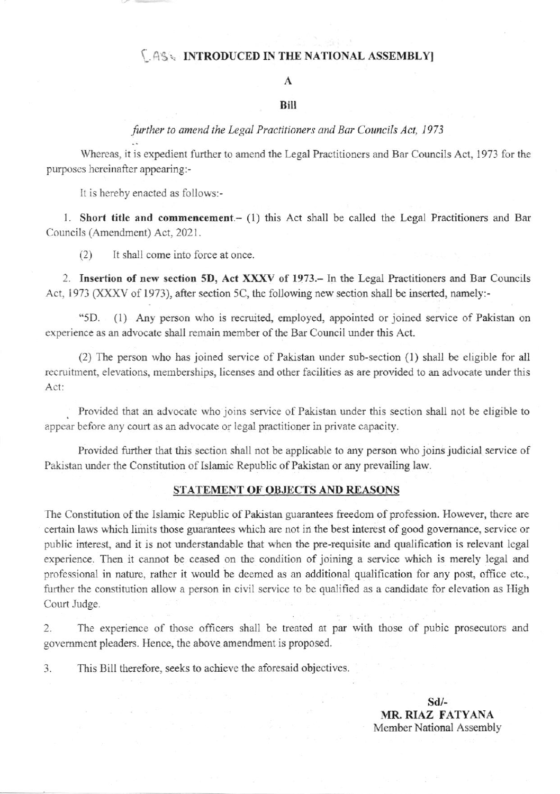### **LASS INTRODUCED IN THE NATIONAL ASSEMBLY**

## A

#### Bill

## further to amend the Legal Practitioners and Bar Councils Act, 1973

Whereas, it is expedient further to amend the Legal Practitioners and Bar Councils Act, 1973 for the purposes hereinafter appearing:-

It is hereby enacted as follows:-

1. Short title and commencement.- (1) this Act shall be called the Legal Practitioners and Bar Councils (Amendment) Act, 2021.

It shall come into force at once.  $(2)$ 

2. Insertion of new section 5D, Act XXXV of 1973. In the Legal Practitioners and Bar Councils Act, 1973 (XXXV of 1973), after section 5C, the following new section shall be inserted, namely:-

"5D. (1) Any person who is recruited, employed, appointed or joined service of Pakistan on experience as an advocate shall remain member of the Bar Council under this Act.

(2) The person who has joined service of Pakistan under sub-section (1) shall be eligible for all recruitment, elevations, memberships, licenses and other facilities as are provided to an advocate under this Act:

Provided that an advocate who joins service of Pakistan under this section shall not be eligible to appear before any court as an advocate or legal practitioner in private capacity.

Provided further that this section shall not be applicable to any person who joins judicial service of Pakistan under the Constitution of Islamic Republic of Pakistan or any prevailing law.

#### STATEMENT OF OBJECTS AND REASONS

The Constitution of the Islamic Republic of Pakistan guarantees freedom of profession. However, there are certain laws which limits those guarantees which are not in the best interest of good governance, service or public interest, and it is not understandable that when the pre-requisite and qualification is relevant legal experience. Then it cannot be ceased on the condition of joining a service which is merely legal and professional in nature, rather it would be deemed as an additional qualification for any post, office etc., further the constitution allow a person in civil service to be qualified as a candidate for elevation as High Court Judge.

The experience of those officers shall be treated at par with those of pubic prosecutors and  $2.$ government pleaders. Hence, the above amendment is proposed.

This Bill therefore, seeks to achieve the aforesaid objectives.  $\overline{3}$ .

> $Sd/-$ MR. RIAZ FATYANA Member National Assembly